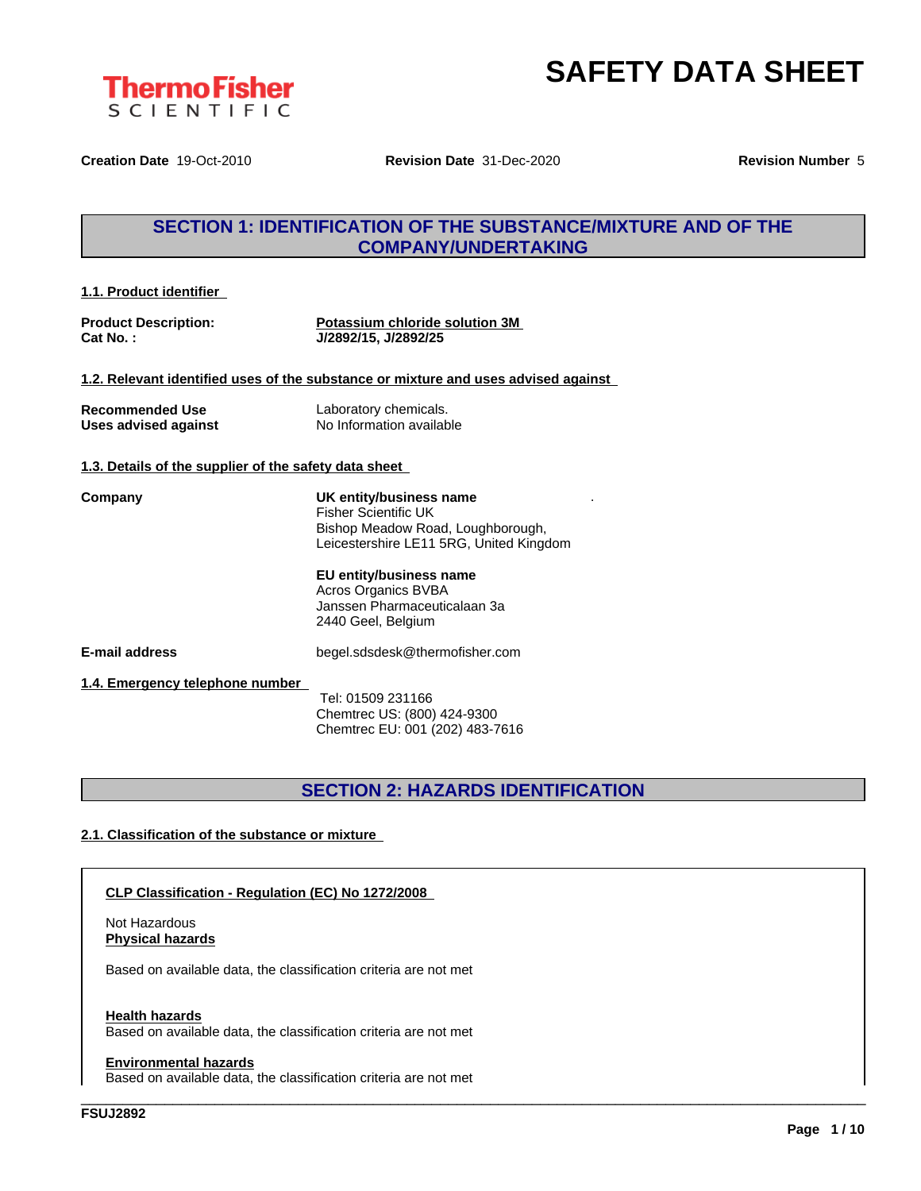

.

**Creation Date** 19-Oct-2010 **Revision Date** 31-Dec-2020 **Revision Number** 5

### **SECTION 1: IDENTIFICATION OF THE SUBSTANCE/MIXTURE AND OF THE COMPANY/UNDERTAKING**

| 1.1. Product identifier |
|-------------------------|
|-------------------------|

**Product Description: Potassium chloride solution 3M Cat No. : J/2892/15, J/2892/25**

**1.2. Relevant identified uses of the substance or mixture and uses advised against**

**Recommended Use** Laboratory chemicals.

**Uses advised against** No Information available

#### **1.3. Details of the supplier of the safety data sheet**

**Company UK entity/business name** Fisher Scientific UK Bishop Meadow Road, Loughborough, Leicestershire LE11 5RG, United Kingdom

#### **EU entity/business name**

Acros Organics BVBA Janssen Pharmaceuticalaan 3a 2440 Geel, Belgium

**E-mail address** begel.sdsdesk@thermofisher.com

#### **1.4. Emergency telephone number**

Tel: 01509 231166 Chemtrec US: (800) 424-9300 Chemtrec EU: 001 (202) 483-7616

### **SECTION 2: HAZARDS IDENTIFICATION**

\_\_\_\_\_\_\_\_\_\_\_\_\_\_\_\_\_\_\_\_\_\_\_\_\_\_\_\_\_\_\_\_\_\_\_\_\_\_\_\_\_\_\_\_\_\_\_\_\_\_\_\_\_\_\_\_\_\_\_\_\_\_\_\_\_\_\_\_\_\_\_\_\_\_\_\_\_\_\_\_\_\_\_\_\_\_\_\_\_\_\_\_\_\_

#### **2.1. Classification of the substance or mixture**

#### **CLP Classification - Regulation (EC) No 1272/2008**

Not Hazardous **Physical hazards**

Based on available data, the classification criteria are not met

#### **Health hazards**

Based on available data, the classification criteria are not met

#### **Environmental hazards**

Based on available data, the classification criteria are not met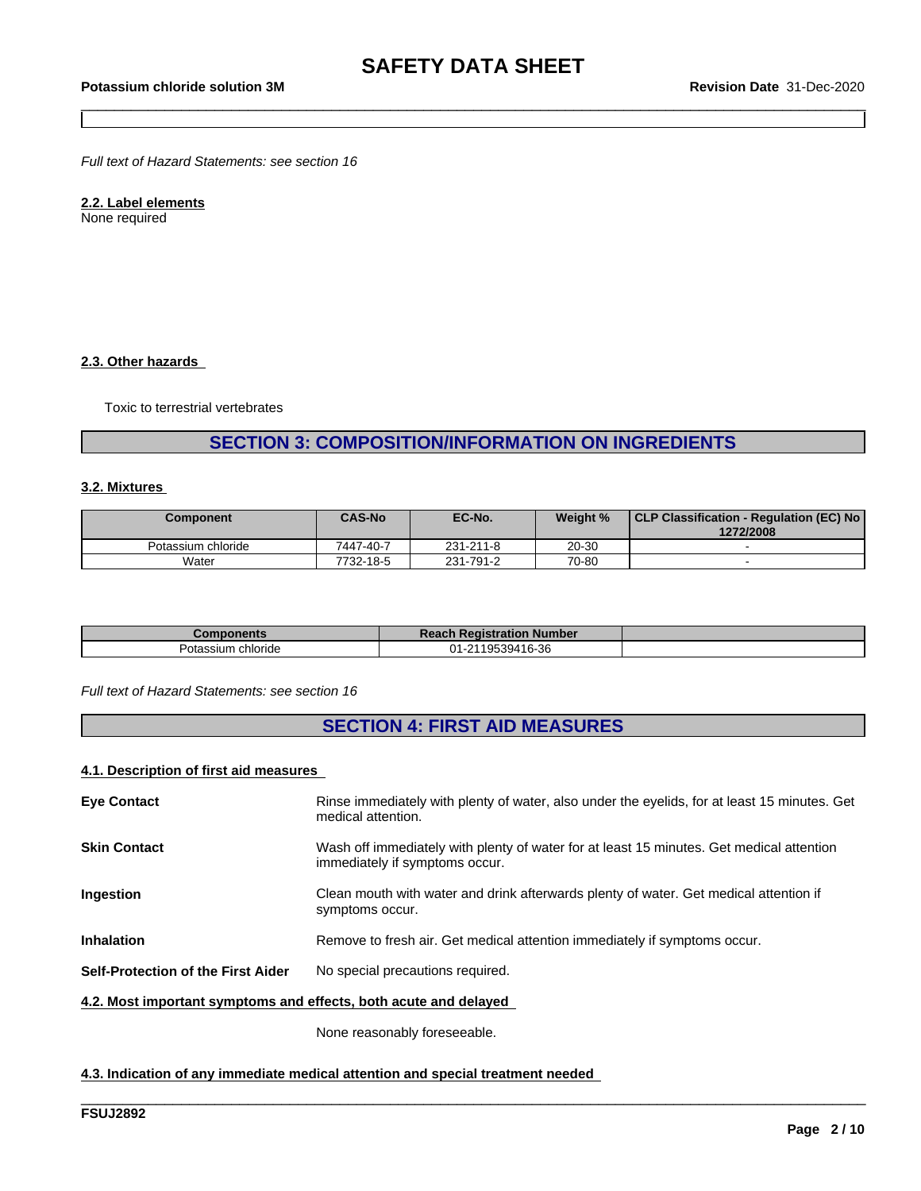*Full text of Hazard Statements: see section 16*

### **2.2. Label elements**

None required

#### **2.3. Other hazards**

Toxic to terrestrial vertebrates

### **SECTION 3: COMPOSITION/INFORMATION ON INGREDIENTS**

#### **3.2. Mixtures**

| Component          | <b>CAS-No</b> | EC-No.    | Weight %  | CLP Classification - Regulation (EC) No<br>1272/2008 |
|--------------------|---------------|-----------|-----------|------------------------------------------------------|
| Potassium chloride | 7447-40-7     | 231-211-8 | $20 - 30$ |                                                      |
| Water              | 7732-18-5     | 231-791-2 | 70-80     |                                                      |

| Components         | <b>Reach Registration Number</b> |  |
|--------------------|----------------------------------|--|
| Potassium chloride | 1-2119539416-36<br>n1            |  |

#### *Full text of Hazard Statements: see section 16*

### **SECTION 4: FIRST AID MEASURES**

#### **4.1. Description of first aid measures**

| <b>Eve Contact</b>                                               | Rinse immediately with plenty of water, also under the eyelids, for at least 15 minutes. Get<br>medical attention.         |
|------------------------------------------------------------------|----------------------------------------------------------------------------------------------------------------------------|
| <b>Skin Contact</b>                                              | Wash off immediately with plenty of water for at least 15 minutes. Get medical attention<br>immediately if symptoms occur. |
| Ingestion                                                        | Clean mouth with water and drink afterwards plenty of water. Get medical attention if<br>symptoms occur.                   |
| <b>Inhalation</b>                                                | Remove to fresh air. Get medical attention immediately if symptoms occur.                                                  |
| Self-Protection of the First Aider                               | No special precautions required.                                                                                           |
| 4.2. Most important symptoms and effects, both acute and delayed |                                                                                                                            |

\_\_\_\_\_\_\_\_\_\_\_\_\_\_\_\_\_\_\_\_\_\_\_\_\_\_\_\_\_\_\_\_\_\_\_\_\_\_\_\_\_\_\_\_\_\_\_\_\_\_\_\_\_\_\_\_\_\_\_\_\_\_\_\_\_\_\_\_\_\_\_\_\_\_\_\_\_\_\_\_\_\_\_\_\_\_\_\_\_\_\_\_\_\_

None reasonably foreseeable.

#### **4.3. Indication of any immediate medical attention and special treatment needed**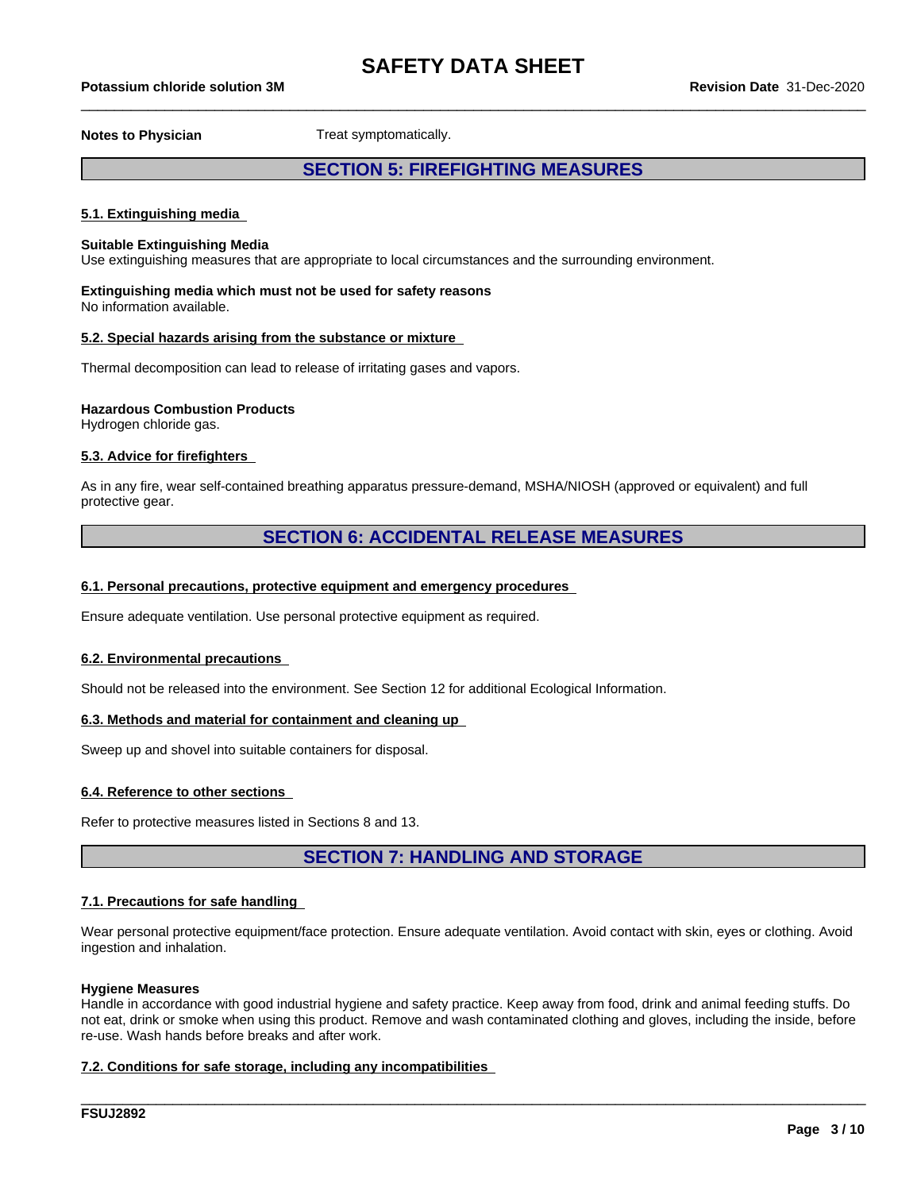## \_\_\_\_\_\_\_\_\_\_\_\_\_\_\_\_\_\_\_\_\_\_\_\_\_\_\_\_\_\_\_\_\_\_\_\_\_\_\_\_\_\_\_\_\_\_\_\_\_\_\_\_\_\_\_\_\_\_\_\_\_\_\_\_\_\_\_\_\_\_\_\_\_\_\_\_\_\_\_\_\_\_\_\_\_\_\_\_\_\_\_\_\_\_ **Potassium chloride solution 3M Revision Date** 31-Dec-2020

**Notes to Physician** Treat symptomatically.

### **SECTION 5: FIREFIGHTING MEASURES**

#### **5.1. Extinguishing media**

#### **Suitable Extinguishing Media**

Use extinguishing measures that are appropriate to local circumstances and the surrounding environment.

### **Extinguishing media which must not be used for safety reasons**

No information available.

#### **5.2. Special hazards arising from the substance or mixture**

Thermal decomposition can lead to release of irritating gases and vapors.

#### **Hazardous Combustion Products**

Hydrogen chloride gas.

#### **5.3. Advice for firefighters**

As in any fire, wear self-contained breathing apparatus pressure-demand, MSHA/NIOSH (approved or equivalent) and full protective gear.

### **SECTION 6: ACCIDENTAL RELEASE MEASURES**

#### **6.1. Personal precautions, protective equipment and emergency procedures**

Ensure adequate ventilation. Use personal protective equipment as required.

#### **6.2. Environmental precautions**

Should not be released into the environment. See Section 12 for additional Ecological Information.

#### **6.3. Methods and material for containment and cleaning up**

Sweep up and shovel into suitable containers for disposal.

#### **6.4. Reference to other sections**

Refer to protective measures listed in Sections 8 and 13.

**SECTION 7: HANDLING AND STORAGE**

#### **7.1. Precautions for safe handling**

Wear personal protective equipment/face protection. Ensure adequate ventilation. Avoid contact with skin, eyes or clothing. Avoid ingestion and inhalation.

#### **Hygiene Measures**

Handle in accordance with good industrial hygiene and safety practice. Keep away from food, drink and animal feeding stuffs. Do not eat, drink or smoke when using this product. Remove and wash contaminated clothing and gloves, including the inside, before re-use. Wash hands before breaks and after work.

\_\_\_\_\_\_\_\_\_\_\_\_\_\_\_\_\_\_\_\_\_\_\_\_\_\_\_\_\_\_\_\_\_\_\_\_\_\_\_\_\_\_\_\_\_\_\_\_\_\_\_\_\_\_\_\_\_\_\_\_\_\_\_\_\_\_\_\_\_\_\_\_\_\_\_\_\_\_\_\_\_\_\_\_\_\_\_\_\_\_\_\_\_\_

#### **7.2. Conditions for safe storage, including any incompatibilities**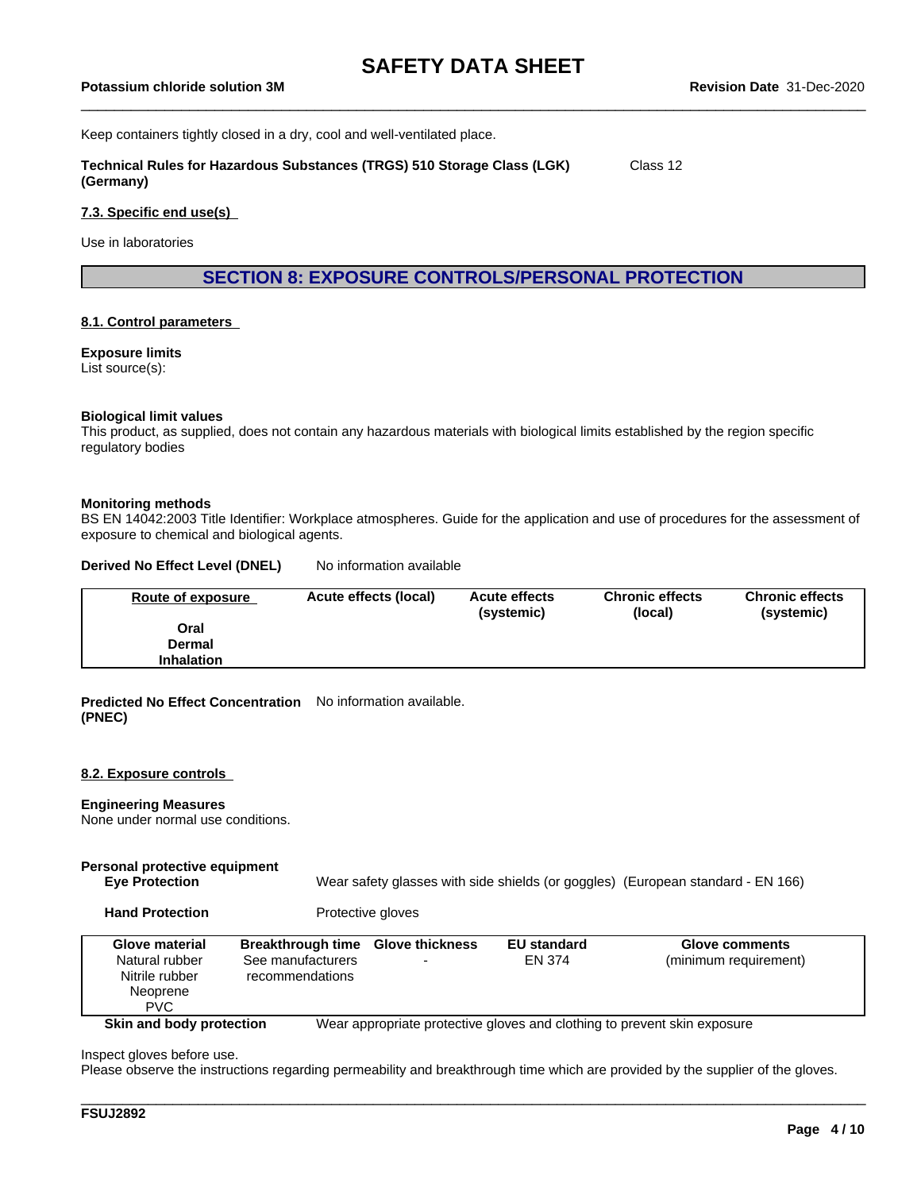Keep containers tightly closed in a dry, cool and well-ventilated place.

**Technical Rules for Hazardous Substances (TRGS) 510 Storage Class (LGK) (Germany)** Class 12

#### **7.3. Specific end use(s)**

Use in laboratories

**SECTION 8: EXPOSURE CONTROLS/PERSONAL PROTECTION**

#### **8.1. Control parameters**

#### **Exposure limits**

List source(s):

#### **Biological limit values**

This product, as supplied, does not contain any hazardous materials with biological limits established by the region specific regulatory bodies

#### **Monitoring methods**

BS EN 14042:2003 Title Identifier: Workplace atmospheres. Guide for the application and use of procedures for the assessment of exposure to chemical and biological agents.

#### **Derived No Effect Level (DNEL)** No information available

| Route of exposure | Acute effects (local) | <b>Acute effects</b><br>(systemic) | <b>Chronic effects</b><br>(local) | <b>Chronic effects</b><br>(systemic) |
|-------------------|-----------------------|------------------------------------|-----------------------------------|--------------------------------------|
| Oral              |                       |                                    |                                   |                                      |
| Dermal            |                       |                                    |                                   |                                      |
| <b>Inhalation</b> |                       |                                    |                                   |                                      |

#### **Predicted No Effect Concentration** No information available. **(PNEC)**

#### **8.2. Exposure controls**

#### **Engineering Measures**

None under normal use conditions.

#### **Personal protective equipment**

**Eye Protection** Wear safety glasses with side shields (or goggles) (European standard - EN 166)

**Hand Protection** Protective gloves

| <b>Glove material</b><br>Natural rubber<br>Nitrile rubber<br>Neoprene<br><b>PVC</b> | <b>Breakthrough time</b><br>See manufacturers<br>recommendations | <b>Glove thickness</b> | <b>EU standard</b><br>EN 374 | <b>Glove comments</b><br>(minimum requirement)                           |
|-------------------------------------------------------------------------------------|------------------------------------------------------------------|------------------------|------------------------------|--------------------------------------------------------------------------|
| Skin and body protection                                                            |                                                                  |                        |                              | Wear appropriate protective gloves and clothing to prevent skin exposure |

Inspect gloves before use.

Please observe the instructions regarding permeability and breakthrough time which are provided by the supplier of the gloves.

\_\_\_\_\_\_\_\_\_\_\_\_\_\_\_\_\_\_\_\_\_\_\_\_\_\_\_\_\_\_\_\_\_\_\_\_\_\_\_\_\_\_\_\_\_\_\_\_\_\_\_\_\_\_\_\_\_\_\_\_\_\_\_\_\_\_\_\_\_\_\_\_\_\_\_\_\_\_\_\_\_\_\_\_\_\_\_\_\_\_\_\_\_\_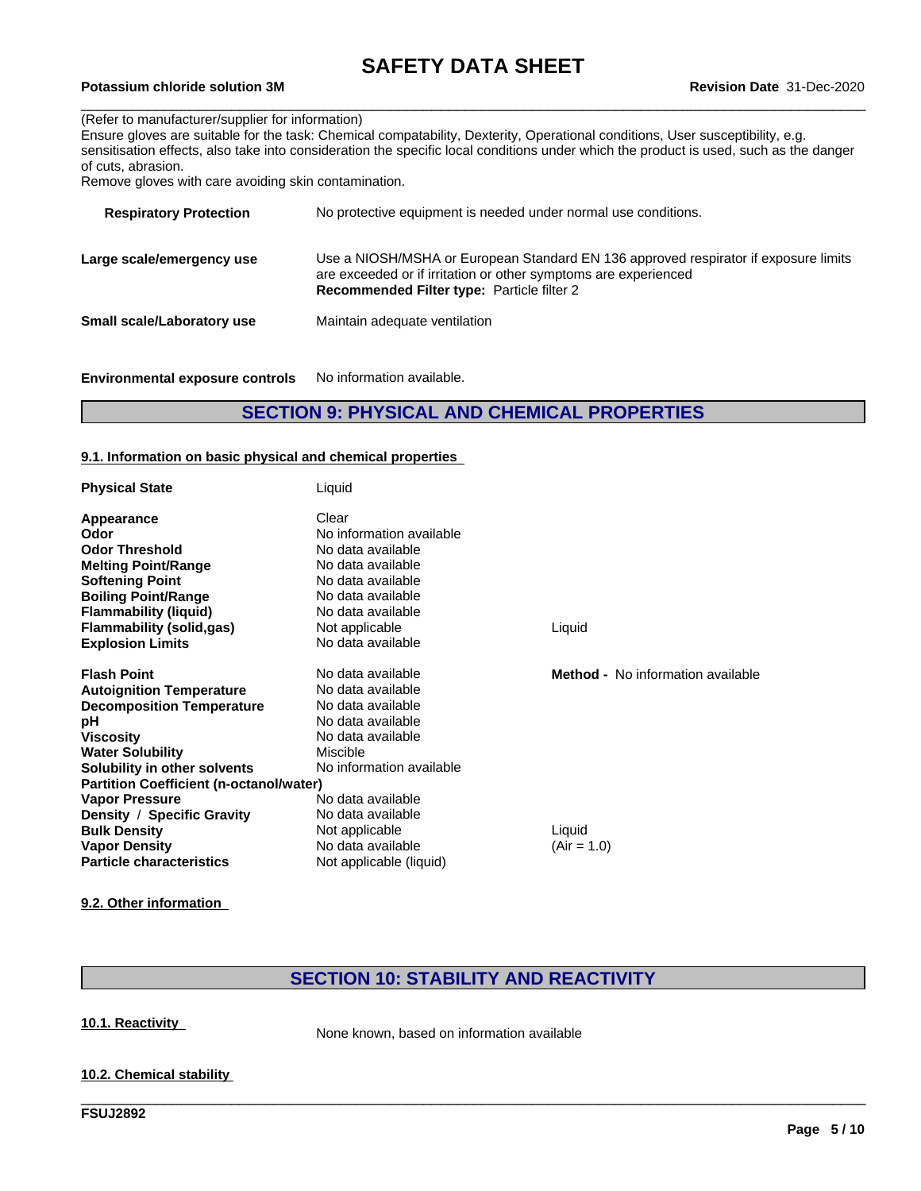## \_\_\_\_\_\_\_\_\_\_\_\_\_\_\_\_\_\_\_\_\_\_\_\_\_\_\_\_\_\_\_\_\_\_\_\_\_\_\_\_\_\_\_\_\_\_\_\_\_\_\_\_\_\_\_\_\_\_\_\_\_\_\_\_\_\_\_\_\_\_\_\_\_\_\_\_\_\_\_\_\_\_\_\_\_\_\_\_\_\_\_\_\_\_ **Potassium chloride solution 3M Revision Date** 31-Dec-2020

#### (Refer to manufacturer/supplier for information)

|                                                      | Ensure gloves are suitable for the task: Chemical compatability, Dexterity, Operational conditions, User susceptibility, e.g.         |
|------------------------------------------------------|---------------------------------------------------------------------------------------------------------------------------------------|
|                                                      | sensitisation effects, also take into consideration the specific local conditions under which the product is used, such as the danger |
| of cuts, abrasion.                                   |                                                                                                                                       |
| Remove gloves with care avoiding skin contamination. |                                                                                                                                       |
|                                                      |                                                                                                                                       |
| <b>Respiratory Protection</b>                        | No protective equipment is needed under normal use conditions.                                                                        |

| Large scale/emergency use         | Use a NIOSH/MSHA or European Standard EN 136 approved respirator if exposure limits<br>are exceeded or if irritation or other symptoms are experienced<br><b>Recommended Filter type: Particle filter 2</b> |
|-----------------------------------|-------------------------------------------------------------------------------------------------------------------------------------------------------------------------------------------------------------|
| <b>Small scale/Laboratory use</b> | Maintain adequate ventilation                                                                                                                                                                               |

**Environmental exposure controls** No information available.

### **SECTION 9: PHYSICAL AND CHEMICAL PROPERTIES**

#### **9.1. Information on basic physical and chemical properties**

| <b>Physical State</b>                          | Liquid                   |                                          |
|------------------------------------------------|--------------------------|------------------------------------------|
| Appearance                                     | Clear                    |                                          |
| Odor                                           | No information available |                                          |
| <b>Odor Threshold</b>                          | No data available        |                                          |
| <b>Melting Point/Range</b>                     | No data available        |                                          |
| <b>Softening Point</b>                         | No data available        |                                          |
| <b>Boiling Point/Range</b>                     | No data available        |                                          |
| <b>Flammability (liquid)</b>                   | No data available        |                                          |
| <b>Flammability (solid,gas)</b>                | Not applicable           | Liquid                                   |
| <b>Explosion Limits</b>                        | No data available        |                                          |
| <b>Flash Point</b>                             | No data available        | <b>Method -</b> No information available |
| <b>Autoignition Temperature</b>                | No data available        |                                          |
| <b>Decomposition Temperature</b>               | No data available        |                                          |
| рH                                             | No data available        |                                          |
| <b>Viscosity</b>                               | No data available        |                                          |
| <b>Water Solubility</b>                        | Miscible                 |                                          |
| Solubility in other solvents                   | No information available |                                          |
| <b>Partition Coefficient (n-octanol/water)</b> |                          |                                          |
| <b>Vapor Pressure</b>                          | No data available        |                                          |
| Density / Specific Gravity                     | No data available        |                                          |
| <b>Bulk Density</b>                            | Not applicable           | Liquid                                   |
| <b>Vapor Density</b>                           | No data available        | $(Air = 1.0)$                            |
| <b>Particle characteristics</b>                | Not applicable (liquid)  |                                          |

**9.2. Other information**

### **SECTION 10: STABILITY AND REACTIVITY**

\_\_\_\_\_\_\_\_\_\_\_\_\_\_\_\_\_\_\_\_\_\_\_\_\_\_\_\_\_\_\_\_\_\_\_\_\_\_\_\_\_\_\_\_\_\_\_\_\_\_\_\_\_\_\_\_\_\_\_\_\_\_\_\_\_\_\_\_\_\_\_\_\_\_\_\_\_\_\_\_\_\_\_\_\_\_\_\_\_\_\_\_\_\_

**10.1. Reactivity** None known, based on information available

#### **10.2. Chemical stability**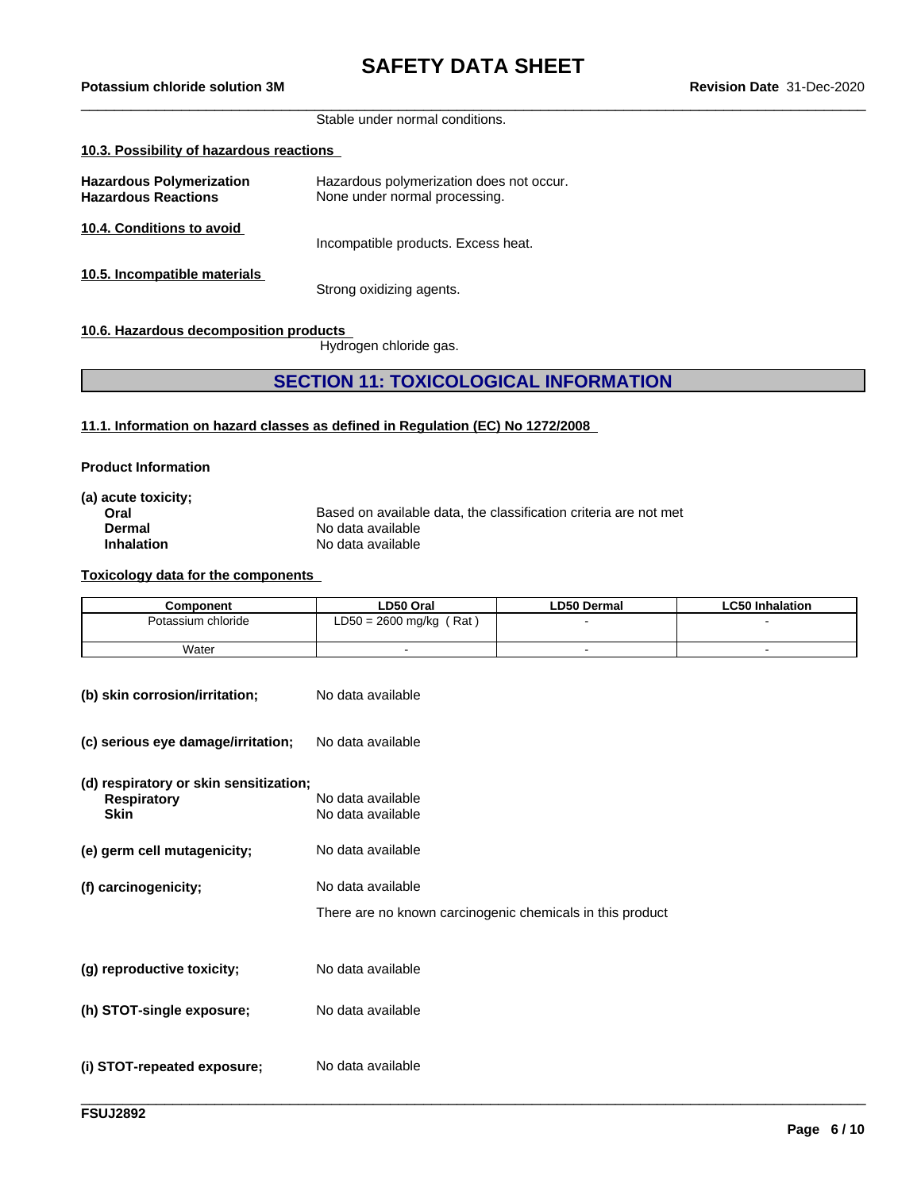Stable under normal conditions.

#### **10.3. Possibility of hazardous reactions**

| <b>Hazardous Polymerization</b><br><b>Hazardous Reactions</b> | Hazardous polymerization does not occur.<br>None under normal processing. |
|---------------------------------------------------------------|---------------------------------------------------------------------------|
| 10.4. Conditions to avoid                                     | Incompatible products. Excess heat.                                       |
| 10.5. Incompatible materials                                  | Strong oxidizing agents.                                                  |

#### **10.6. Hazardous decomposition products**

Hydrogen chloride gas.

### **SECTION 11: TOXICOLOGICAL INFORMATION**

**11.1. Information on hazard classes as defined in Regulation (EC) No 1272/2008**

#### **Product Information**

| (a) acute toxicity; |                                                                  |
|---------------------|------------------------------------------------------------------|
| Oral                | Based on available data, the classification criteria are not met |
| Dermal              | No data available                                                |
| <b>Inhalation</b>   | No data available                                                |
|                     |                                                                  |

#### **Toxicology data for the components**

| Component          | LD50 Oral                | <b>LD50 Dermal</b> | ∟C50 Inhalation |
|--------------------|--------------------------|--------------------|-----------------|
| Potassium chloride | Rat<br>LD50 = 2600 mg/kg |                    |                 |
| Water              |                          |                    |                 |

| (b) skin corrosion/irritation;                                              | No data available                                                              |
|-----------------------------------------------------------------------------|--------------------------------------------------------------------------------|
| (c) serious eye damage/irritation;                                          | No data available                                                              |
| (d) respiratory or skin sensitization;<br><b>Respiratory</b><br><b>Skin</b> | No data available<br>No data available                                         |
| (e) germ cell mutagenicity;                                                 | No data available                                                              |
| (f) carcinogenicity;                                                        | No data available<br>There are no known carcinogenic chemicals in this product |
| (g) reproductive toxicity;                                                  | No data available                                                              |
| (h) STOT-single exposure;                                                   | No data available                                                              |
| (i) STOT-repeated exposure;                                                 | No data available                                                              |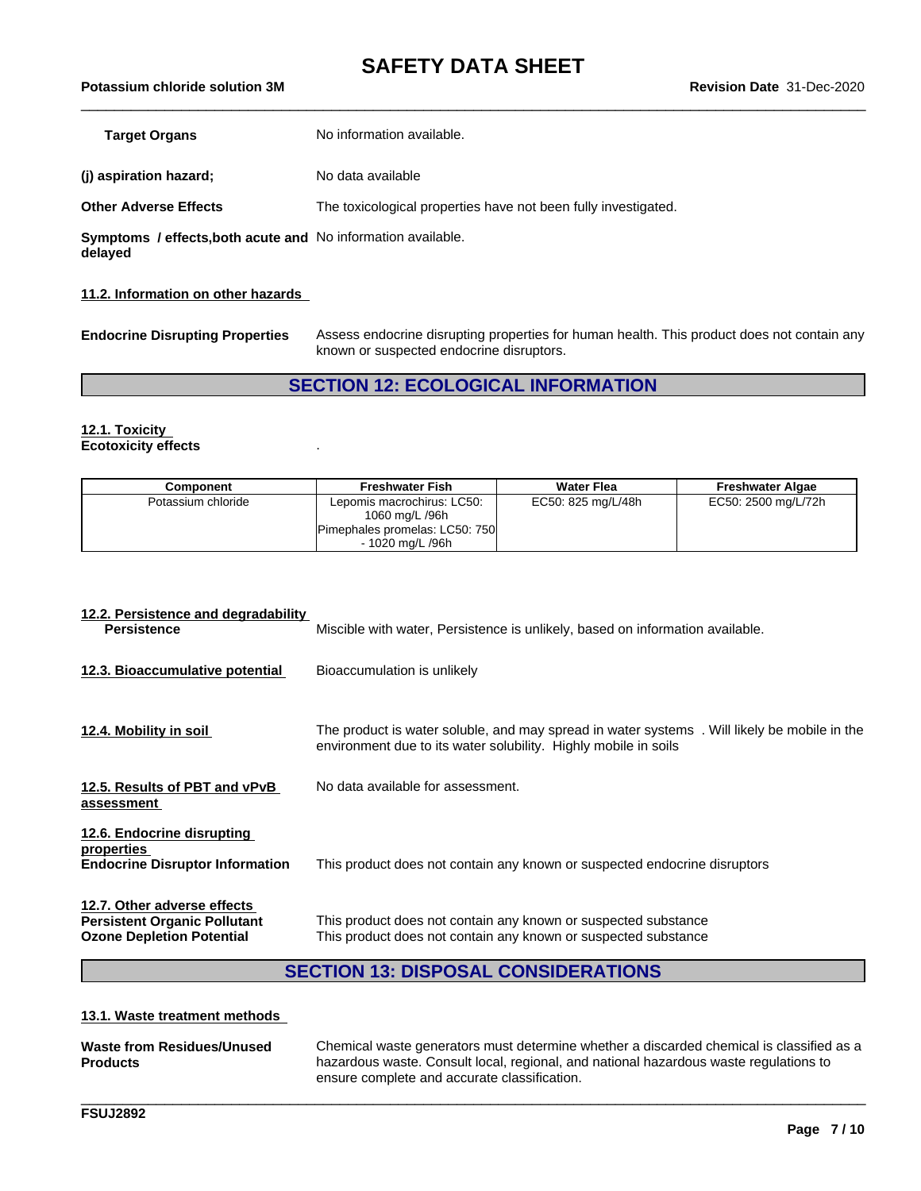\_\_\_\_\_\_\_\_\_\_\_\_\_\_\_\_\_\_\_\_\_\_\_\_\_\_\_\_\_\_\_\_\_\_\_\_\_\_\_\_\_\_\_\_\_\_\_\_\_\_\_\_\_\_\_\_\_\_\_\_\_\_\_\_\_\_\_\_\_\_\_\_\_\_\_\_\_\_\_\_\_\_\_\_\_\_\_\_\_\_\_\_\_\_ **Potassium chloride solution 3M Revision Date** 31-Dec-2020

| Target Organs                                                | No information available.                                      |
|--------------------------------------------------------------|----------------------------------------------------------------|
| (i) aspiration hazard;                                       | No data available                                              |
| Other Adverse Effects                                        | The toxicological properties have not been fully investigated. |
| Symptoms / effects, both acute and No information available. |                                                                |

**delayed**

### **11.2. Information on other hazards**

**Endocrine Disrupting Properties** Assess endocrine disrupting properties for human health. This product does not contain any known or suspected endocrine disruptors.

### **SECTION 12: ECOLOGICAL INFORMATION**

#### **12.1. Toxicity Ecotoxicity effects** .

| Component          | <b>Freshwater Fish</b>         | <b>Water Flea</b>  | <b>Freshwater Algae</b> |
|--------------------|--------------------------------|--------------------|-------------------------|
| Potassium chloride | Lepomis macrochirus: LC50:     | EC50: 825 mg/L/48h | EC50: 2500 mg/L/72h     |
|                    | 1060 mg/L /96h                 |                    |                         |
|                    | Pimephales promelas: LC50: 750 |                    |                         |
|                    | - 1020 ma/L /96h               |                    |                         |

| Miscible with water, Persistence is unlikely, based on information available.                                                                                  |
|----------------------------------------------------------------------------------------------------------------------------------------------------------------|
| Bioaccumulation is unlikely                                                                                                                                    |
| The product is water soluble, and may spread in water systems. Will likely be mobile in the<br>environment due to its water solubility. Highly mobile in soils |
| No data available for assessment.                                                                                                                              |
| This product does not contain any known or suspected endocrine disruptors                                                                                      |
| This product does not contain any known or suspected substance<br>This product does not contain any known or suspected substance                               |
|                                                                                                                                                                |

### **SECTION 13: DISPOSAL CONSIDERATIONS**

#### **13.1. Waste treatment methods**

| Waste from Residues/Unused<br><b>Products</b> | Chemical waste generators must determine whether a discarded chemical is classified as a<br>hazardous waste. Consult local, regional, and national hazardous waste regulations to<br>ensure complete and accurate classification. |
|-----------------------------------------------|-----------------------------------------------------------------------------------------------------------------------------------------------------------------------------------------------------------------------------------|
|                                               |                                                                                                                                                                                                                                   |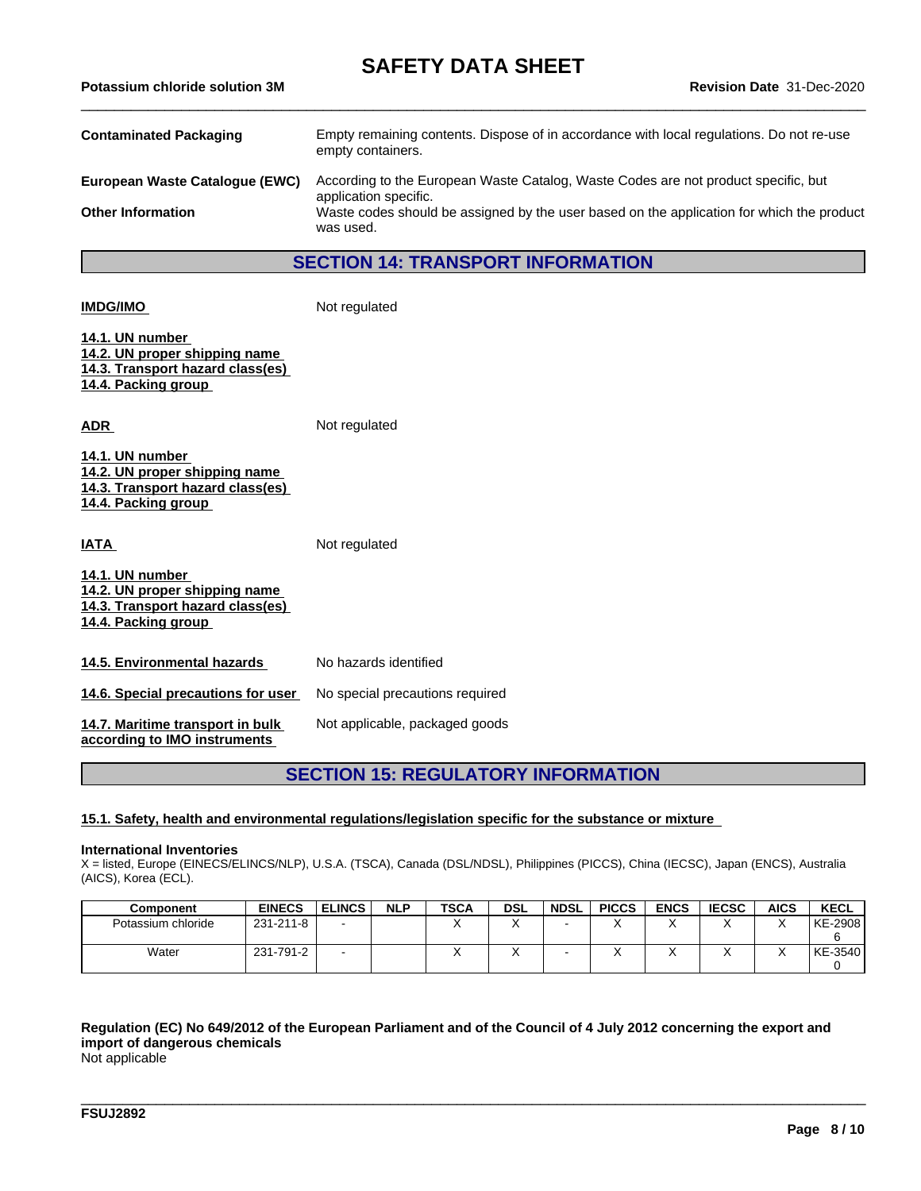| <b>Contaminated Packaging</b>  | Empty remaining contents. Dispose of in accordance with local regulations. Do not re-use<br>empty containers. |
|--------------------------------|---------------------------------------------------------------------------------------------------------------|
| European Waste Catalogue (EWC) | According to the European Waste Catalog, Waste Codes are not product specific, but<br>application specific.   |
| <b>Other Information</b>       | Waste codes should be assigned by the user based on the application for which the product<br>was used.        |

### **SECTION 14: TRANSPORT INFORMATION**

**IMDG/IMO** Not regulated

**14.1. UN number 14.2. UN proper shipping name 14.3. Transport hazard class(es) 14.4. Packing group**

ADR **ADR** Not regulated

**14.1. UN number 14.2. UN proper shipping name 14.3. Transport hazard class(es) 14.4. Packing group**

### **IATA** Not regulated **14.1. UN number 14.2. UN proper shipping name 14.3. Transport hazard class(es) 14.4. Packing group** 14.5. **Environmental hazards** No hazards identified

**14.6. Special precautions for user** No special precautions required Not applicable, packaged goods

**14.7. Maritime transport in bulk according to IMO instruments**

### **SECTION 15: REGULATORY INFORMATION**

#### **15.1. Safety, health and environmental regulations/legislation specific for the substance or mixture**

#### **International Inventories**

X = listed, Europe (EINECS/ELINCS/NLP), U.S.A. (TSCA), Canada (DSL/NDSL), Philippines (PICCS), China (IECSC), Japan (ENCS), Australia (AICS), Korea (ECL).

| <b>Component</b>   | <b>EINECS</b> | <b>ELINCS</b> | <b>NLP</b> | <b>TSCA</b> | <b>DSL</b> | <b>NDSL</b> | <b>PICCS</b> | <b>ENCS</b> | <b>IECSC</b> | <b>AICS</b> | <b>KECL</b> |
|--------------------|---------------|---------------|------------|-------------|------------|-------------|--------------|-------------|--------------|-------------|-------------|
| Potassium chloride | 231-211-8     |               |            | $\cdot$     |            |             |              | $\lambda$   |              | $\lambda$   | KE-2908     |
|                    |               |               |            |             |            |             |              |             |              |             |             |
| Water              | 231-791-2     |               |            |             | $\lambda$  |             |              | $\lambda$   |              | $\lambda$   | KE-3540     |
|                    |               |               |            |             |            |             |              |             |              |             |             |

### Requlation (EC) No 649/2012 of the European Parliament and of the Council of 4 July 2012 concerning the export and **import of dangerous chemicals**

\_\_\_\_\_\_\_\_\_\_\_\_\_\_\_\_\_\_\_\_\_\_\_\_\_\_\_\_\_\_\_\_\_\_\_\_\_\_\_\_\_\_\_\_\_\_\_\_\_\_\_\_\_\_\_\_\_\_\_\_\_\_\_\_\_\_\_\_\_\_\_\_\_\_\_\_\_\_\_\_\_\_\_\_\_\_\_\_\_\_\_\_\_\_

Not applicable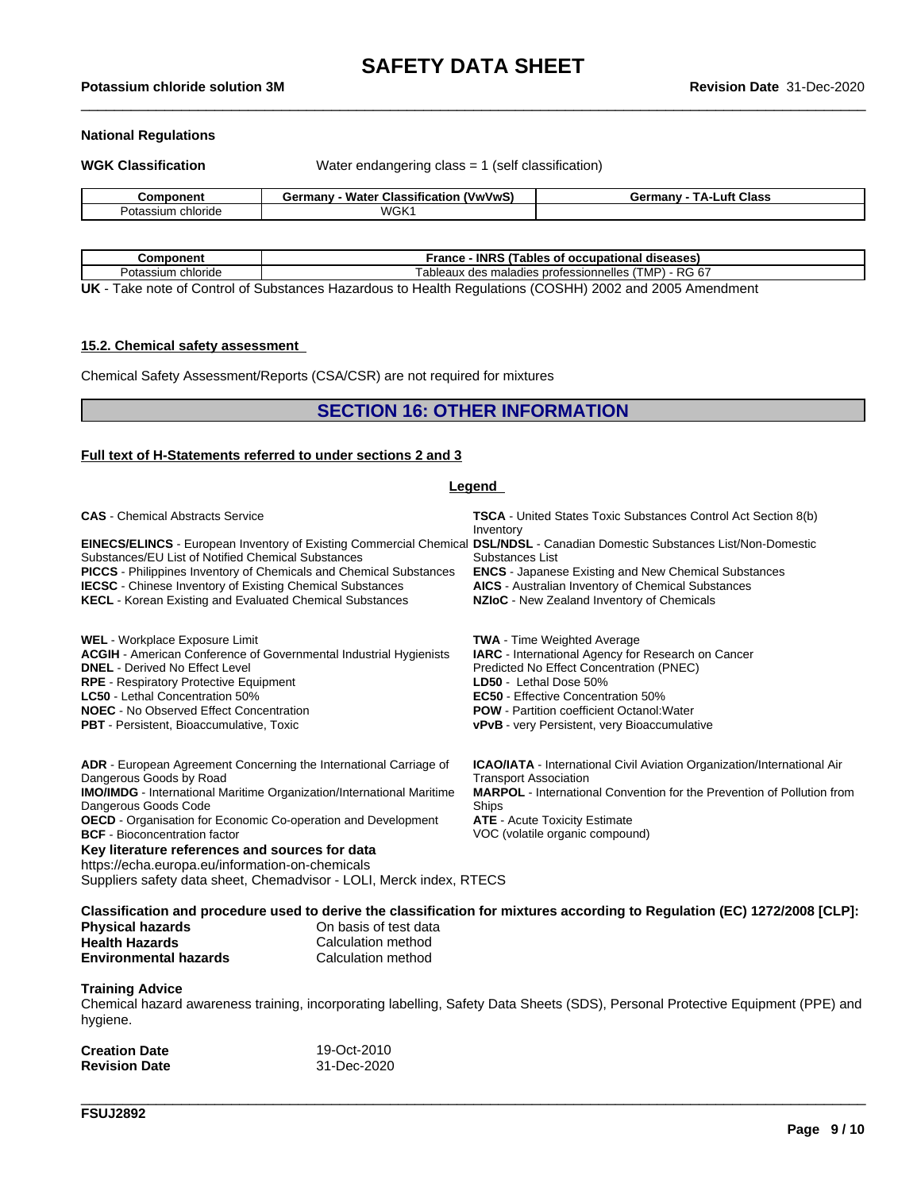## \_\_\_\_\_\_\_\_\_\_\_\_\_\_\_\_\_\_\_\_\_\_\_\_\_\_\_\_\_\_\_\_\_\_\_\_\_\_\_\_\_\_\_\_\_\_\_\_\_\_\_\_\_\_\_\_\_\_\_\_\_\_\_\_\_\_\_\_\_\_\_\_\_\_\_\_\_\_\_\_\_\_\_\_\_\_\_\_\_\_\_\_\_\_ **Potassium chloride solution 3M Revision Date** 31-Dec-2020

#### **National Regulations**

**WGK Classification** Water endangering class = 1 (self classification)

| `omponent                    | <br><br>$-$<br>---<br>rmanv<br><u>'VwVwS</u><br>Classification<br>M <sup>2</sup><br><i>ia</i> ter<br>vс. | <b>Class</b><br><b>ΤΔ</b> .<br>uft<br>≧armanv<br>OUTHAL |
|------------------------------|----------------------------------------------------------------------------------------------------------|---------------------------------------------------------|
| <b>chloride</b><br>۱r<br>uld | WGK                                                                                                      |                                                         |

| Component                     | <b>INRS</b><br>S (Tables of occupational<br>France<br>⊦diseases)    |  |  |  |  |
|-------------------------------|---------------------------------------------------------------------|--|--|--|--|
| Dot.<br>chloride<br>otassium  | $I - RG 67$<br>TMP)<br>k des maladies professionnelles /<br>ableaux |  |  |  |  |
| .<br>$\overline{\phantom{a}}$ | (0.00111)<br>$\sim$ $\sim$ $\sim$ $\sim$<br>.                       |  |  |  |  |

**UK** - Take note of Control of Substances Hazardous to Health Regulations (COSHH) 2002 and 2005 Amendment

#### **15.2. Chemical safety assessment**

Chemical Safety Assessment/Reports (CSA/CSR) are not required for mixtures

#### **SECTION 16: OTHER INFORMATION**

#### **Full text of H-Statements referred to undersections 2 and 3**

| <b>Legend</b>                                                                                                                                                                                                                                                                                                                                                                                                                                                                             |                                                                                                                                                                                                                                                                                                                         |  |  |  |
|-------------------------------------------------------------------------------------------------------------------------------------------------------------------------------------------------------------------------------------------------------------------------------------------------------------------------------------------------------------------------------------------------------------------------------------------------------------------------------------------|-------------------------------------------------------------------------------------------------------------------------------------------------------------------------------------------------------------------------------------------------------------------------------------------------------------------------|--|--|--|
| <b>CAS</b> - Chemical Abstracts Service                                                                                                                                                                                                                                                                                                                                                                                                                                                   | <b>TSCA</b> - United States Toxic Substances Control Act Section 8(b)<br>Inventory                                                                                                                                                                                                                                      |  |  |  |
| EINECS/ELINCS - European Inventory of Existing Commercial Chemical DSL/NDSL - Canadian Domestic Substances List/Non-Domestic<br>Substances/EU List of Notified Chemical Substances<br><b>PICCS</b> - Philippines Inventory of Chemicals and Chemical Substances<br><b>IECSC</b> - Chinese Inventory of Existing Chemical Substances<br><b>KECL</b> - Korean Existing and Evaluated Chemical Substances                                                                                    | Substances List<br><b>ENCS</b> - Japanese Existing and New Chemical Substances<br><b>AICS</b> - Australian Inventory of Chemical Substances<br>NZIoC - New Zealand Inventory of Chemicals                                                                                                                               |  |  |  |
| <b>WEL</b> - Workplace Exposure Limit<br><b>ACGIH</b> - American Conference of Governmental Industrial Hygienists<br><b>DNEL</b> - Derived No Effect Level<br><b>RPE</b> - Respiratory Protective Equipment<br><b>LC50</b> - Lethal Concentration 50%<br><b>NOEC</b> - No Observed Effect Concentration<br><b>PBT</b> - Persistent, Bioaccumulative, Toxic                                                                                                                                | <b>TWA</b> - Time Weighted Average<br>IARC - International Agency for Research on Cancer<br>Predicted No Effect Concentration (PNEC)<br>LD50 - Lethal Dose 50%<br><b>EC50</b> - Effective Concentration 50%<br><b>POW</b> - Partition coefficient Octanol: Water<br><b>vPvB</b> - very Persistent, very Bioaccumulative |  |  |  |
| ADR - European Agreement Concerning the International Carriage of<br>Dangerous Goods by Road<br><b>IMO/IMDG</b> - International Maritime Organization/International Maritime<br>Dangerous Goods Code<br>OECD - Organisation for Economic Co-operation and Development<br><b>BCF</b> - Bioconcentration factor<br>Key literature references and sources for data<br>https://echa.europa.eu/information-on-chemicals<br>Suppliers safety data sheet, Chemadvisor - LOLI, Merck index, RTECS | <b>ICAO/IATA</b> - International Civil Aviation Organization/International Air<br><b>Transport Association</b><br><b>MARPOL</b> - International Convention for the Prevention of Pollution from<br>Ships<br><b>ATE</b> - Acute Toxicity Estimate<br>VOC (volatile organic compound)                                     |  |  |  |
| Classification and procedure used to derive the classification for mixtures according to Regulation (EC) 1272/2008 [CLP]:                                                                                                                                                                                                                                                                                                                                                                 |                                                                                                                                                                                                                                                                                                                         |  |  |  |

Classification and procedure used to derive the classification for mixtures according to Regulation (EC) 1272/2008 [CLP]: **Physical hazards** On basis of test data

| <b>Health Hazards</b>        | Calculation method |
|------------------------------|--------------------|
| <b>Environmental hazards</b> | Calculation method |

#### **Training Advice**

Chemical hazard awareness training, incorporating labelling, Safety Data Sheets (SDS), Personal Protective Equipment (PPE) and hygiene.

\_\_\_\_\_\_\_\_\_\_\_\_\_\_\_\_\_\_\_\_\_\_\_\_\_\_\_\_\_\_\_\_\_\_\_\_\_\_\_\_\_\_\_\_\_\_\_\_\_\_\_\_\_\_\_\_\_\_\_\_\_\_\_\_\_\_\_\_\_\_\_\_\_\_\_\_\_\_\_\_\_\_\_\_\_\_\_\_\_\_\_\_\_\_

| <b>Creation Date</b> | 19-Oct-2010 |
|----------------------|-------------|
| <b>Revision Date</b> | 31-Dec-2020 |